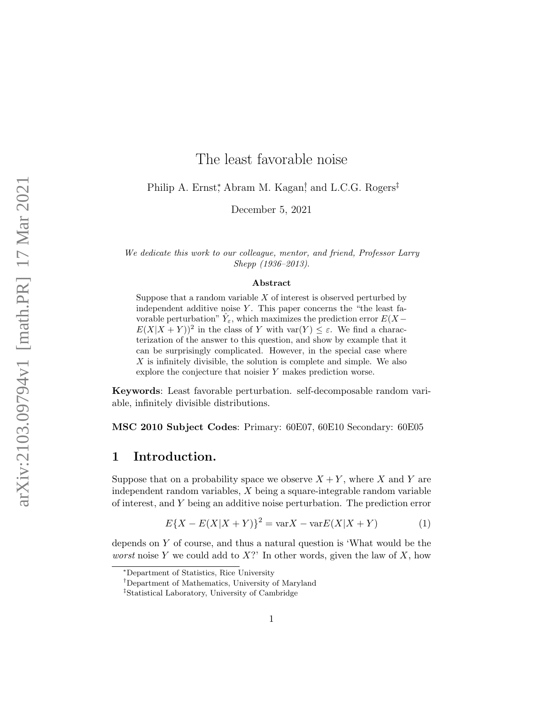# The least favorable noise

Philip A. Ernst<sup>\*</sup>, Abram M. Kagan<sup>†</sup>, and L.C.G. Rogers<sup>‡</sup>

December 5, 2021

We dedicate this work to our colleague, mentor, and friend, Professor Larry Shepp (1936–2013).

#### Abstract

Suppose that a random variable  $X$  of interest is observed perturbed by independent additive noise  $Y$ . This paper concerns the "the least favorable perturbation"  $\hat{Y}_{\varepsilon}$ , which maximizes the prediction error  $E(X E(X|X+Y))^2$  in the class of Y with  $var(Y) \leq \varepsilon$ . We find a characterization of the answer to this question, and show by example that it can be surprisingly complicated. However, in the special case where  $X$  is infinitely divisible, the solution is complete and simple. We also explore the conjecture that noisier  $Y$  makes prediction worse.

Keywords: Least favorable perturbation. self-decomposable random variable, infinitely divisible distributions.

MSC 2010 Subject Codes: Primary: 60E07, 60E10 Secondary: 60E05

## 1 Introduction.

Suppose that on a probability space we observe  $X + Y$ , where X and Y are independent random variables, X being a square-integrable random variable of interest, and Y being an additive noise perturbation. The prediction error

<span id="page-0-0"></span>
$$
E\{X - E(X|X + Y)\}^{2} = \text{var}X - \text{var}E(X|X + Y)
$$
 (1)

depends on Y of course, and thus a natural question is 'What would be the worst noise Y we could add to  $X$ ?' In other words, given the law of X, how

<sup>∗</sup>Department of Statistics, Rice University

<sup>†</sup>Department of Mathematics, University of Maryland

<sup>‡</sup>Statistical Laboratory, University of Cambridge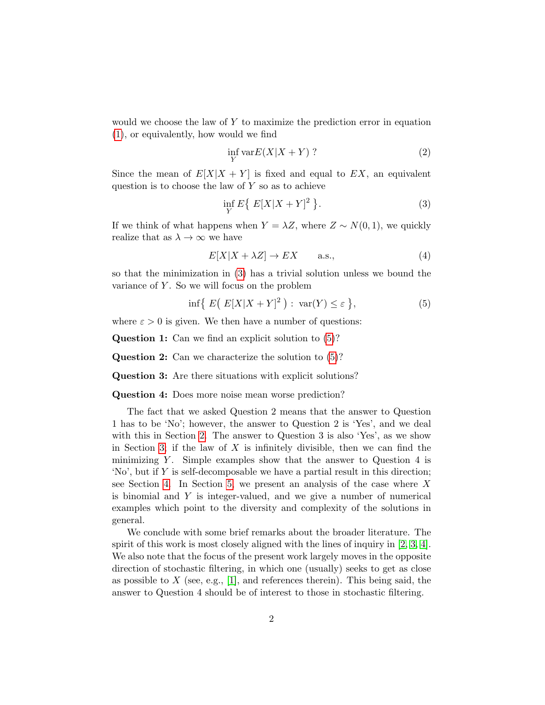would we choose the law of  $Y$  to maximize the prediction error in equation [\(1\)](#page-0-0), or equivalently, how would we find

$$
\inf_{Y} \text{var}E(X|X+Y) \tag{2}
$$

Since the mean of  $E[X|X+Y]$  is fixed and equal to EX, an equivalent question is to choose the law of  $Y$  so as to achieve

<span id="page-1-0"></span>
$$
\inf_{Y} E\{ E[X|X+Y]^2 \}.
$$
\n(3)

If we think of what happens when  $Y = \lambda Z$ , where  $Z \sim N(0, 1)$ , we quickly realize that as  $\lambda \to \infty$  we have

<span id="page-1-2"></span>
$$
E[X|X + \lambda Z] \to EX \qquad \text{a.s.},\tag{4}
$$

so that the minimization in [\(3\)](#page-1-0) has a trivial solution unless we bound the variance of  $Y$ . So we will focus on the problem

<span id="page-1-1"></span>
$$
\inf\{|E(E[X|X+Y]^2): \operatorname{var}(Y)\leq \varepsilon\},\tag{5}
$$

where  $\varepsilon > 0$  is given. We then have a number of questions:

Question 1: Can we find an explicit solution to [\(5\)](#page-1-1)?

Question 2: Can we characterize the solution to [\(5\)](#page-1-1)?

Question 3: Are there situations with explicit solutions?

Question 4: Does more noise mean worse prediction?

The fact that we asked Question 2 means that the answer to Question 1 has to be 'No'; however, the answer to Question 2 is 'Yes', and we deal with this in Section [2.](#page-2-0) The answer to Question 3 is also 'Yes', as we show in Section [3;](#page-4-0) if the law of  $X$  is infinitely divisible, then we can find the minimizing Y. Simple examples show that the answer to Question  $4$  is  $'No'$ , but if Y is self-decomposable we have a partial result in this direction; see Section [4.](#page-5-0) In Section [5,](#page-6-0) we present an analysis of the case where  $X$ is binomial and  $Y$  is integer-valued, and we give a number of numerical examples which point to the diversity and complexity of the solutions in general.

We conclude with some brief remarks about the broader literature. The spirit of this work is most closely aligned with the lines of inquiry in  $[2, 3, 4]$  $[2, 3, 4]$  $[2, 3, 4]$ . We also note that the focus of the present work largely moves in the opposite direction of stochastic filtering, in which one (usually) seeks to get as close as possible to X (see, e.g., [\[1\]](#page-14-3), and references therein). This being said, the answer to Question 4 should be of interest to those in stochastic filtering.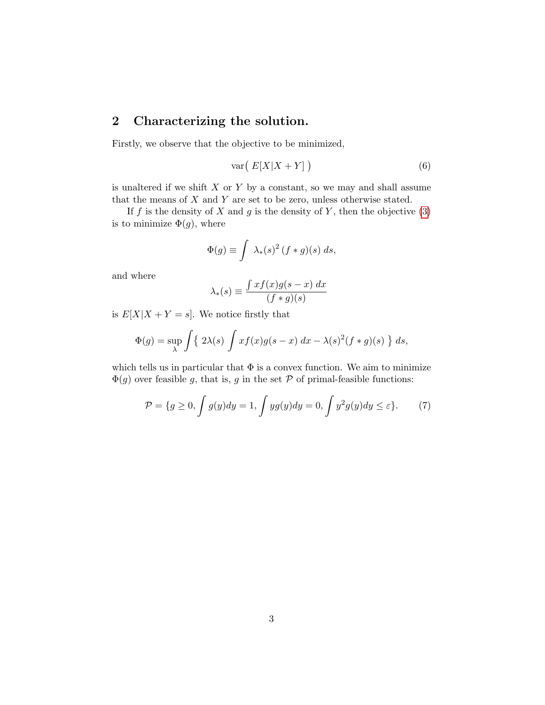# <span id="page-2-0"></span>2 Characterizing the solution.

Firstly, we observe that the objective to be minimized,

$$
\text{var}\left(E[X|X+Y]\right) \tag{6}
$$

is unaltered if we shift  $X$  or  $Y$  by a constant, so we may and shall assume that the means of  $X$  and  $Y$  are set to be zero, unless otherwise stated.

If f is the density of X and g is the density of Y, then the objective  $(3)$ is to minimize  $\Phi(g)$ , where

$$
\Phi(g) \equiv \int \lambda_*(s)^2 (f * g)(s) ds,
$$

and where

$$
\lambda_*(s) \equiv \frac{\int x f(x) g(s-x) \, dx}{(f*g)(s)}
$$

is  $E[X|X+Y=s]$ . We notice firstly that

$$
\Phi(g) = \sup_{\lambda} \int \{ 2\lambda(s) \int x f(x) g(s-x) dx - \lambda(s)^2 (f * g)(s) \} ds,
$$

which tells us in particular that  $\Phi$  is a convex function. We aim to minimize  $\Phi(g)$  over feasible g, that is, g in the set P of primal-feasible functions:

$$
\mathcal{P} = \{g \ge 0, \int g(y)dy = 1, \int yg(y)dy = 0, \int y^2 g(y)dy \le \varepsilon\}.
$$
 (7)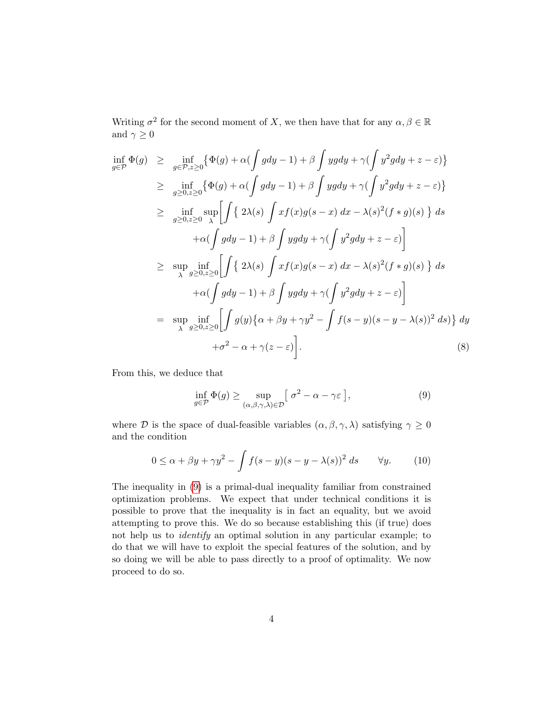Writing  $\sigma^2$  for the second moment of X, we then have that for any  $\alpha, \beta \in \mathbb{R}$ and  $\gamma\geq 0$ 

<span id="page-3-1"></span>
$$
\inf_{g \in \mathcal{P}} \Phi(g) \geq \inf_{g \in \mathcal{P}, z \geq 0} \{ \Phi(g) + \alpha \left( \int g dy - 1 \right) + \beta \int yg dy + \gamma \left( \int y^2 g dy + z - \varepsilon \right) \}
$$
\n
$$
\geq \inf_{g \geq 0, z \geq 0} \{ \Phi(g) + \alpha \left( \int g dy - 1 \right) + \beta \int yg dy + \gamma \left( \int y^2 g dy + z - \varepsilon \right) \}
$$
\n
$$
\geq \inf_{g \geq 0, z \geq 0} \sup_{\lambda} \left[ \int \{ 2\lambda(s) \int x f(x) g(s - x) dx - \lambda(s)^2 (f * g)(s) \} ds
$$
\n
$$
+ \alpha \left( \int g dy - 1 \right) + \beta \int yg dy + \gamma \left( \int y^2 g dy + z - \varepsilon \right) \right]
$$
\n
$$
\geq \sup_{\lambda} \inf_{g \geq 0, z \geq 0} \left[ \int \{ 2\lambda(s) \int x f(x) g(s - x) dx - \lambda(s)^2 (f * g)(s) \} ds
$$
\n
$$
+ \alpha \left( \int g dy - 1 \right) + \beta \int yg dy + \gamma \left( \int y^2 g dy + z - \varepsilon \right) \right]
$$
\n
$$
= \sup_{\lambda} \inf_{g \geq 0, z \geq 0} \left[ \int g(y) \{ \alpha + \beta y + \gamma y^2 - \int f(s - y)(s - y - \lambda(s))^2 ds \} \right] dy
$$
\n
$$
+ \sigma^2 - \alpha + \gamma(z - \varepsilon) \right]. \tag{8}
$$

From this, we deduce that

<span id="page-3-0"></span>
$$
\inf_{g \in \mathcal{P}} \Phi(g) \ge \sup_{(\alpha,\beta,\gamma,\lambda) \in \mathcal{D}} \left[ \sigma^2 - \alpha - \gamma \varepsilon \right],\tag{9}
$$

where  $\mathcal D$  is the space of dual-feasible variables  $(\alpha, \beta, \gamma, \lambda)$  satisfying  $\gamma \geq 0$ and the condition

<span id="page-3-2"></span>
$$
0 \le \alpha + \beta y + \gamma y^2 - \int f(s - y)(s - y - \lambda(s))^2 \, ds \qquad \forall y. \tag{10}
$$

The inequality in [\(9\)](#page-3-0) is a primal-dual inequality familiar from constrained optimization problems. We expect that under technical conditions it is possible to prove that the inequality is in fact an equality, but we avoid attempting to prove this. We do so because establishing this (if true) does not help us to identify an optimal solution in any particular example; to do that we will have to exploit the special features of the solution, and by so doing we will be able to pass directly to a proof of optimality. We now proceed to do so.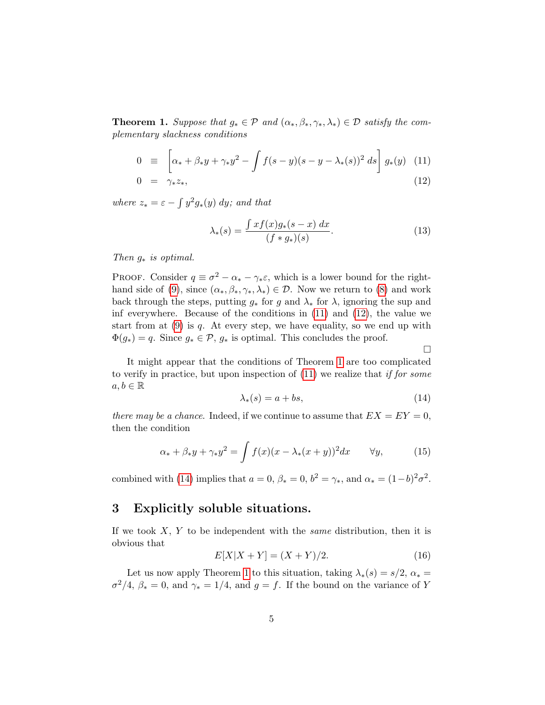<span id="page-4-2"></span>**Theorem 1.** Suppose that  $g_* \in \mathcal{P}$  and  $(\alpha_*, \beta_*, \gamma_*, \lambda_*) \in \mathcal{D}$  satisfy the complementary slackness conditions

<span id="page-4-1"></span>
$$
0 \equiv \left[ \alpha_* + \beta_* y + \gamma_* y^2 - \int f(s - y)(s - y - \lambda_*(s))^2 \, ds \right] g_*(y) \tag{11}
$$

$$
0 = \gamma_* z_*, \tag{12}
$$

where  $z_* = \varepsilon - \int y^2 g_*(y) \ dy$ ; and that

<span id="page-4-5"></span>
$$
\lambda_*(s) = \frac{\int x f(x) g_*(s-x) \, dx}{(f * g_*)(s)}.
$$
\n(13)

Then  $g_*$  is optimal.

PROOF. Consider  $q \equiv \sigma^2 - \alpha_* - \gamma_* \varepsilon$ , which is a lower bound for the right-hand side of [\(9\)](#page-3-0), since  $(\alpha_*, \beta_*, \gamma_*, \lambda_*) \in \mathcal{D}$ . Now we return to [\(8\)](#page-3-1) and work back through the steps, putting  $g_*$  for g and  $\lambda_*$  for  $\lambda$ , ignoring the sup and inf everywhere. Because of the conditions in  $(11)$  and  $(12)$ , the value we start from at  $(9)$  is q. At every step, we have equality, so we end up with  $\Phi(g_*) = q$ . Since  $g_* \in \mathcal{P}, g_*$  is optimal. This concludes the proof.

 $\Box$ 

It might appear that the conditions of Theorem [1](#page-4-2) are too complicated to verify in practice, but upon inspection of  $(11)$  we realize that *if for some*  $a, b \in \mathbb{R}$ 

<span id="page-4-3"></span>
$$
\lambda_*(s) = a + bs,\tag{14}
$$

there may be a chance. Indeed, if we continue to assume that  $EX = EY = 0$ , then the condition

<span id="page-4-4"></span>
$$
\alpha_* + \beta_* y + \gamma_* y^2 = \int f(x)(x - \lambda_*(x + y))^2 dx \qquad \forall y,\tag{15}
$$

combined with [\(14\)](#page-4-3) implies that  $a = 0$ ,  $\beta_* = 0$ ,  $b^2 = \gamma_*,$  and  $\alpha_* = (1-b)^2 \sigma^2$ .

# <span id="page-4-0"></span>3 Explicitly soluble situations.

If we took  $X, Y$  to be independent with the *same* distribution, then it is obvious that

$$
E[X|X+Y] = (X+Y)/2.
$$
 (16)

Let us now apply Theorem [1](#page-4-2) to this situation, taking  $\lambda_*(s) = s/2$ ,  $\alpha_* =$  $\sigma^2/4$ ,  $\beta_* = 0$ , and  $\gamma_* = 1/4$ , and  $g = f$ . If the bound on the variance of Y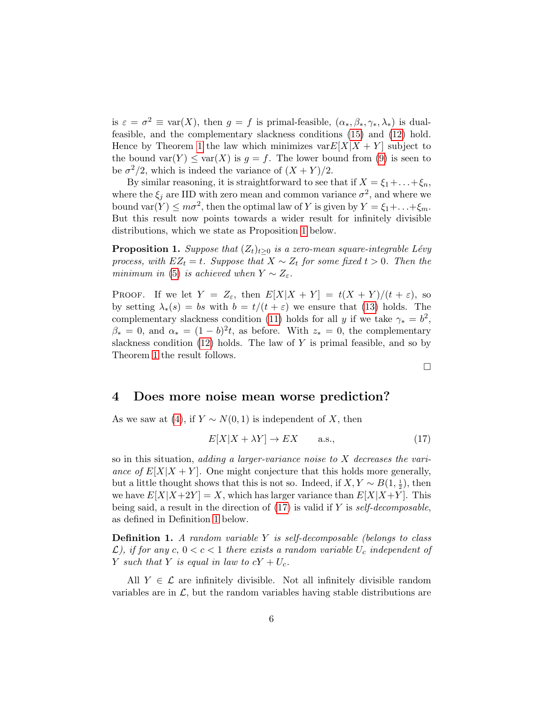is  $\varepsilon = \sigma^2 \equiv \text{var}(X)$ , then  $g = f$  is primal-feasible,  $(\alpha_*, \beta_*, \gamma_*, \lambda_*)$  is dualfeasible, and the complementary slackness conditions [\(15\)](#page-4-4) and [\(12\)](#page-4-1) hold. Hence by Theorem [1](#page-4-2) the law which minimizes  $var E[X|X+Y]$  subject to the bound var $(Y) \leq \text{var}(X)$  is  $g = f$ . The lower bound from [\(9\)](#page-3-0) is seen to be  $\sigma^2/2$ , which is indeed the variance of  $(X + Y)/2$ .

By similar reasoning, it is straightforward to see that if  $X = \xi_1 + \ldots + \xi_n$ , where the  $\xi_j$  are IID with zero mean and common variance  $\sigma^2$ , and where we bound var $(Y) \leq m\sigma^2$ , then the optimal law of Y is given by  $Y = \xi_1 + \ldots + \xi_m$ . But this result now points towards a wider result for infinitely divisible distributions, which we state as Proposition [1](#page-5-1) below.

<span id="page-5-1"></span>**Proposition 1.** Suppose that  $(Z_t)_{t\geq 0}$  is a zero-mean square-integrable Lévy process, with  $EZ_t = t$ . Suppose that  $X \sim Z_t$  for some fixed  $t > 0$ . Then the minimum in [\(5\)](#page-1-1) is achieved when  $Y \sim Z_{\varepsilon}$ .

PROOF. If we let  $Y = Z_{\varepsilon}$ , then  $E[X|X+Y] = t(X+Y)/(t+\varepsilon)$ , so by setting  $\lambda_*(s) = bs$  with  $b = t/(t + \varepsilon)$  we ensure that [\(13\)](#page-4-5) holds. The complementary slackness condition [\(11\)](#page-4-1) holds for all y if we take  $\gamma_* = b^2$ ,  $\beta_*=0$ , and  $\alpha_*= (1-b)^2 t$ , as before. With  $z_*=0$ , the complementary slackness condition  $(12)$  holds. The law of Y is primal feasible, and so by Theorem [1](#page-4-2) the result follows.

 $\Box$ 

# <span id="page-5-0"></span>4 Does more noise mean worse prediction?

As we saw at [\(4\)](#page-1-2), if  $Y \sim N(0, 1)$  is independent of X, then

<span id="page-5-2"></span>
$$
E[X|X + \lambda Y] \to EX \qquad \text{a.s.,} \tag{17}
$$

so in this situation, adding a larger-variance noise to X decreases the variance of  $E[X|X+Y]$ . One might conjecture that this holds more generally, but a little thought shows that this is not so. Indeed, if  $X, Y \sim B(1, \frac{1}{2})$ , then we have  $E[X|X+2Y] = X$ , which has larger variance than  $E[X|X+Y]$ . This being said, a result in the direction of  $(17)$  is valid if Y is self-decomposable, as defined in Definition [1](#page-5-3) below.

<span id="page-5-3"></span>**Definition 1.** A random variable  $Y$  is self-decomposable (belongs to class  $\mathcal{L}$ ), if for any c,  $0 < c < 1$  there exists a random variable  $U_c$  independent of Y such that Y is equal in law to  $cY + U_c$ .

All  $Y \in \mathcal{L}$  are infinitely divisible. Not all infinitely divisible random variables are in  $\mathcal{L}$ , but the random variables having stable distributions are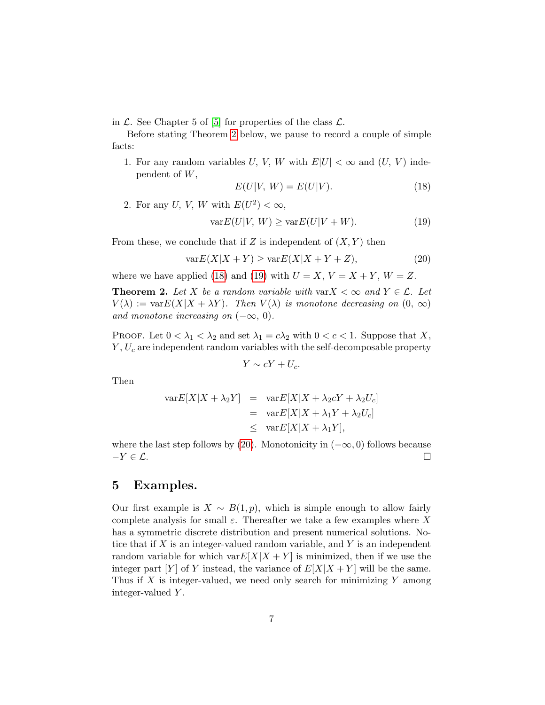in  $\mathcal{L}$ . See Chapter 5 of [\[5\]](#page-14-4) for properties of the class  $\mathcal{L}$ .

Before stating Theorem [2](#page-6-1) below, we pause to record a couple of simple facts:

1. For any random variables U, V, W with  $E|U| < \infty$  and  $(U, V)$  independent of W,

<span id="page-6-2"></span>
$$
E(U|V, W) = E(U|V). \tag{18}
$$

2. For any U, V, W with  $E(U^2) < \infty$ ,

<span id="page-6-3"></span>
$$
\text{var}E(U|V, W) \ge \text{var}E(U|V + W). \tag{19}
$$

From these, we conclude that if Z is independent of  $(X, Y)$  then

<span id="page-6-4"></span>
$$
\text{var}E(X|X+Y) \ge \text{var}E(X|X+Y+Z),\tag{20}
$$

where we have applied [\(18\)](#page-6-2) and [\(19\)](#page-6-3) with  $U = X, V = X + Y, W = Z$ .

<span id="page-6-1"></span>**Theorem 2.** Let X be a random variable with var $X < \infty$  and  $Y \in \mathcal{L}$ . Let  $V(\lambda) := \text{var}E(X|X + \lambda Y)$ . Then  $V(\lambda)$  is monotone decreasing on  $(0, \infty)$ and monotone increasing on  $(-\infty, 0)$ .

PROOF. Let  $0 < \lambda_1 < \lambda_2$  and set  $\lambda_1 = c\lambda_2$  with  $0 < c < 1$ . Suppose that X,  $Y, U_c$  are independent random variables with the self-decomposable property

$$
Y \sim cY + U_c.
$$

Then

$$
\begin{array}{rcl}\n\text{var}E[X|X+\lambda_2 Y] & = & \text{var}E[X|X+\lambda_2 cY+\lambda_2 U_c] \\
& = & \text{var}E[X|X+\lambda_1 Y+\lambda_2 U_c] \\
& \leq & \text{var}E[X|X+\lambda_1 Y],\n\end{array}
$$

where the last step follows by [\(20\)](#page-6-4). Monotonicity in  $(-\infty, 0)$  follows because  $-Y \in \mathcal{L}$ .

### <span id="page-6-0"></span>5 Examples.

Our first example is  $X \sim B(1, p)$ , which is simple enough to allow fairly complete analysis for small  $\varepsilon$ . Thereafter we take a few examples where X has a symmetric discrete distribution and present numerical solutions. Notice that if  $X$  is an integer-valued random variable, and  $Y$  is an independent random variable for which var $E[X|X+Y]$  is minimized, then if we use the integer part [Y] of Y instead, the variance of  $E[X|X+Y]$  will be the same. Thus if  $X$  is integer-valued, we need only search for minimizing  $Y$  among integer-valued Y .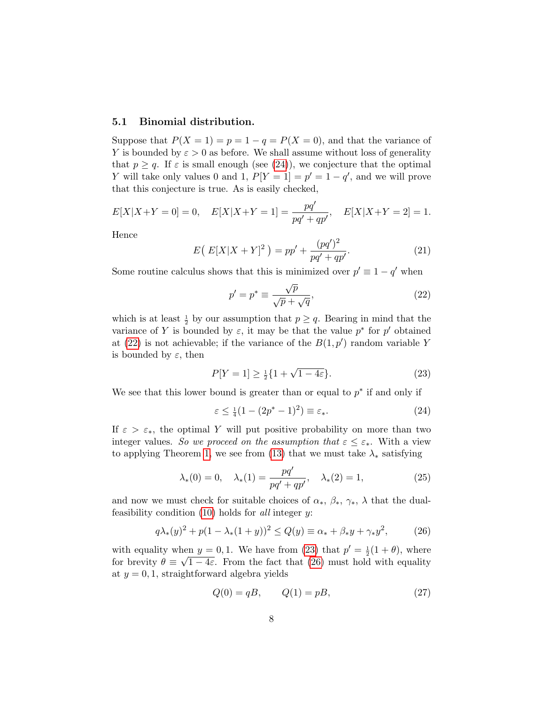#### 5.1 Binomial distribution.

Suppose that  $P(X = 1) = p = 1 - q = P(X = 0)$ , and that the variance of Y is bounded by  $\varepsilon > 0$  as before. We shall assume without loss of generality that  $p \geq q$ . If  $\varepsilon$  is small enough (see [\(24\)](#page-7-0)), we conjecture that the optimal Y will take only values 0 and 1,  $P[Y = 1] = p' = 1 - q'$ , and we will prove that this conjecture is true. As is easily checked,

$$
E[X|X+Y=0] = 0, \quad E[X|X+Y=1] = \frac{pq'}{pq' + qp'}, \quad E[X|X+Y=2] = 1.
$$

Hence

$$
E(E[X|X+Y]^2) = pp' + \frac{(pq')^2}{pq' + qp'}.
$$
\n(21)

Some routine calculus shows that this is minimized over  $p' \equiv 1 - q'$  when

<span id="page-7-1"></span>
$$
p' = p^* \equiv \frac{\sqrt{p}}{\sqrt{p} + \sqrt{q}},\tag{22}
$$

which is at least  $\frac{1}{2}$  by our assumption that  $p \geq q$ . Bearing in mind that the variance of Y is bounded by  $\varepsilon$ , it may be that the value  $p^*$  for  $p'$  obtained at [\(22\)](#page-7-1) is not achievable; if the variance of the  $B(1,p')$  random variable Y is bounded by  $\varepsilon$ , then

<span id="page-7-2"></span>
$$
P[Y=1] \ge \frac{1}{2} \{ 1 + \sqrt{1 - 4\varepsilon} \}. \tag{23}
$$

We see that this lower bound is greater than or equal to  $p^*$  if and only if

<span id="page-7-0"></span>
$$
\varepsilon \le \frac{1}{4}(1 - (2p^* - 1)^2) \equiv \varepsilon_*.\tag{24}
$$

If  $\varepsilon > \varepsilon_*$ , the optimal Y will put positive probability on more than two integer values. So we proceed on the assumption that  $\varepsilon \leq \varepsilon_*$ . With a view to applying Theorem [1,](#page-4-2) we see from [\(13\)](#page-4-5) that we must take  $\lambda_*$  satisfying

$$
\lambda_*(0) = 0, \quad \lambda_*(1) = \frac{pq'}{pq' + qp'}, \quad \lambda_*(2) = 1,
$$
\n(25)

and now we must check for suitable choices of  $\alpha_*, \beta_*, \gamma_*, \lambda$  that the dualfeasibility condition  $(10)$  holds for all integer y:

<span id="page-7-3"></span>
$$
q\lambda_*(y)^2 + p(1 - \lambda_*(1 + y))^2 \le Q(y) \equiv \alpha_* + \beta_* y + \gamma_* y^2, \tag{26}
$$

with equality when  $y = 0, 1$ . We have from [\(23\)](#page-7-2) that  $p' = \frac{1}{2}(1 + \theta)$ , where for brevity  $\theta \equiv \sqrt{1-4\varepsilon}$ . From the fact that [\(26\)](#page-7-3) must hold with equality at  $y = 0, 1$ , straightforward algebra yields

<span id="page-7-4"></span>
$$
Q(0) = qB, \t Q(1) = pB,
$$
\t(27)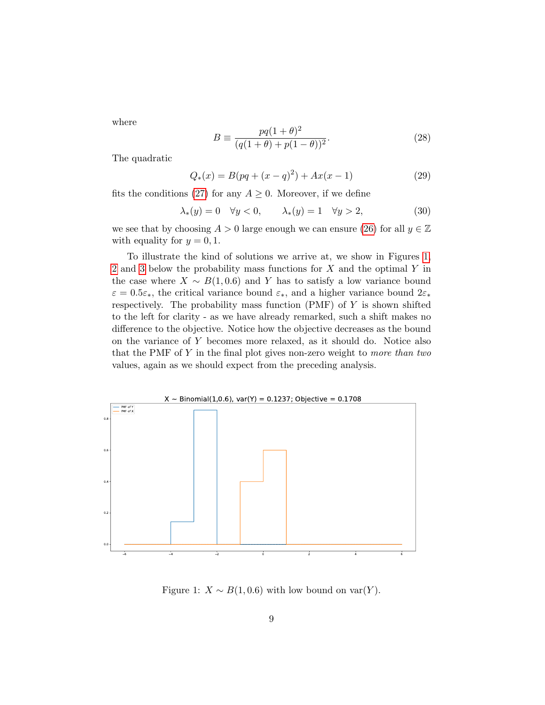where

$$
B \equiv \frac{pq(1+\theta)^2}{(q(1+\theta) + p(1-\theta))^2}.
$$
 (28)

The quadratic

$$
Q_*(x) = B(pq + (x - q)^2) + Ax(x - 1)
$$
\n(29)

fits the conditions [\(27\)](#page-7-4) for any  $A \geq 0$ . Moreover, if we define

$$
\lambda_*(y) = 0 \quad \forall y < 0, \qquad \lambda_*(y) = 1 \quad \forall y > 2,\tag{30}
$$

we see that by choosing  $A > 0$  large enough we can ensure [\(26\)](#page-7-3) for all  $y \in \mathbb{Z}$ with equality for  $y = 0, 1$ .

To illustrate the kind of solutions we arrive at, we show in Figures [1,](#page-8-0) [2](#page-9-0) and [3](#page-9-1) below the probability mass functions for  $X$  and the optimal  $Y$  in the case where  $X \sim B(1, 0.6)$  and Y has to satisfy a low variance bound  $\varepsilon = 0.5\varepsilon_*$ , the critical variance bound  $\varepsilon_*$ , and a higher variance bound  $2\varepsilon_*$ respectively. The probability mass function  $(PMF)$  of Y is shown shifted to the left for clarity - as we have already remarked, such a shift makes no difference to the objective. Notice how the objective decreases as the bound on the variance of Y becomes more relaxed, as it should do. Notice also that the PMF of  $Y$  in the final plot gives non-zero weight to more than two values, again as we should expect from the preceding analysis.



<span id="page-8-0"></span>Figure 1:  $X \sim B(1, 0.6)$  with low bound on var $(Y)$ .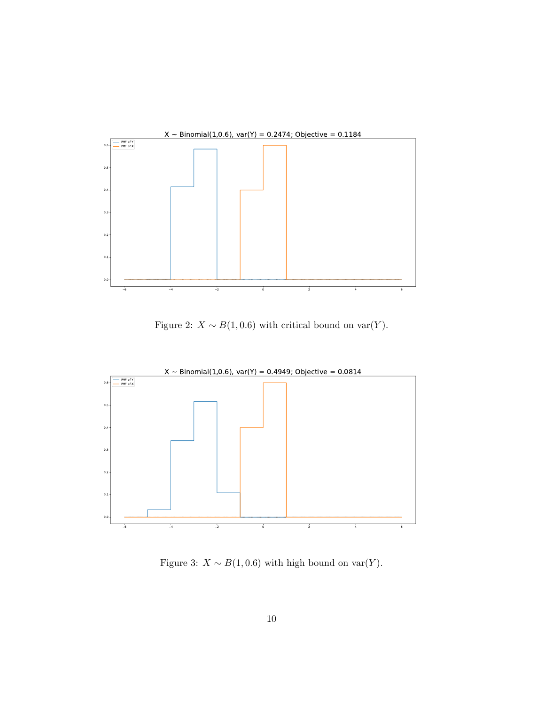

<span id="page-9-0"></span>Figure 2:  $X \sim B(1, 0.6)$  with critical bound on var $(Y)$ .



<span id="page-9-1"></span>Figure 3:  $X \sim B(1, 0.6)$  with high bound on var $(Y)$ .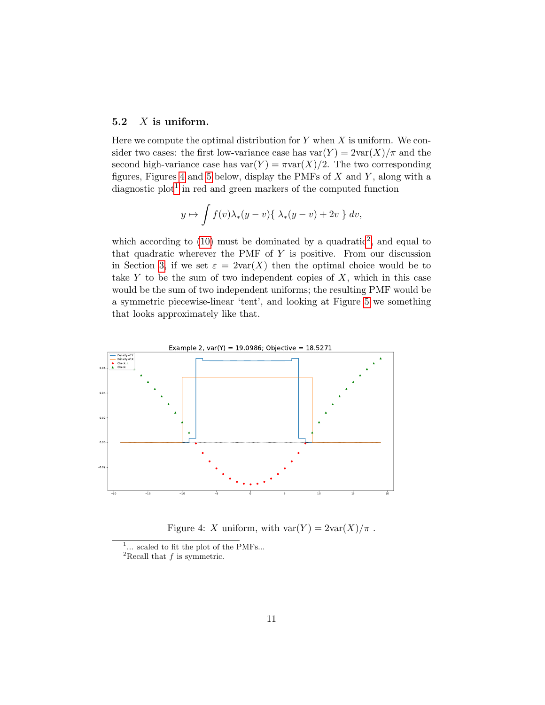### 5.2  $X$  is uniform.

Here we compute the optimal distribution for  $Y$  when  $X$  is uniform. We consider two cases: the first low-variance case has  $var(Y) = 2var(X)/\pi$  and the second high-variance case has  $var(Y) = \pi var(X)/2$ . The two corresponding figures, Figures [4](#page-10-0) and [5](#page-11-0) below, display the PMFs of  $X$  and  $Y$ , along with a diagnostic  $plot<sup>1</sup>$  $plot<sup>1</sup>$  $plot<sup>1</sup>$  in red and green markers of the computed function

$$
y \mapsto \int f(v) \lambda_*(y - v) \{ \lambda_*(y - v) + 2v \} dv,
$$

which according to  $(10)$  must be dominated by a quadratic<sup>[2](#page-10-2)</sup>, and equal to that quadratic wherever the PMF of  $Y$  is positive. From our discussion in Section [3,](#page-4-0) if we set  $\varepsilon = 2\text{var}(X)$  then the optimal choice would be to take  $Y$  to be the sum of two independent copies of  $X$ , which in this case would be the sum of two independent uniforms; the resulting PMF would be a symmetric piecewise-linear 'tent', and looking at Figure [5](#page-11-0) we something that looks approximately like that.



<span id="page-10-0"></span>Figure 4: X uniform, with  $var(Y) = 2var(X)/\pi$ .

<span id="page-10-1"></span> $1...$  scaled to fit the plot of the PMFs...

<span id="page-10-2"></span><sup>&</sup>lt;sup>2</sup>Recall that  $f$  is symmetric.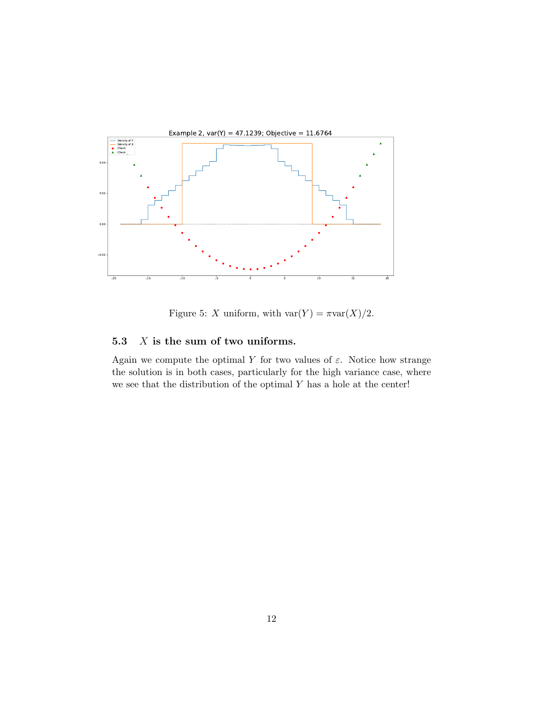

<span id="page-11-0"></span>Figure 5: X uniform, with  $var(Y) = \pi var(X)/2$ .

# <span id="page-11-1"></span>5.3  $X$  is the sum of two uniforms.

Again we compute the optimal Y for two values of  $\varepsilon$ . Notice how strange the solution is in both cases, particularly for the high variance case, where we see that the distribution of the optimal  $Y$  has a hole at the center!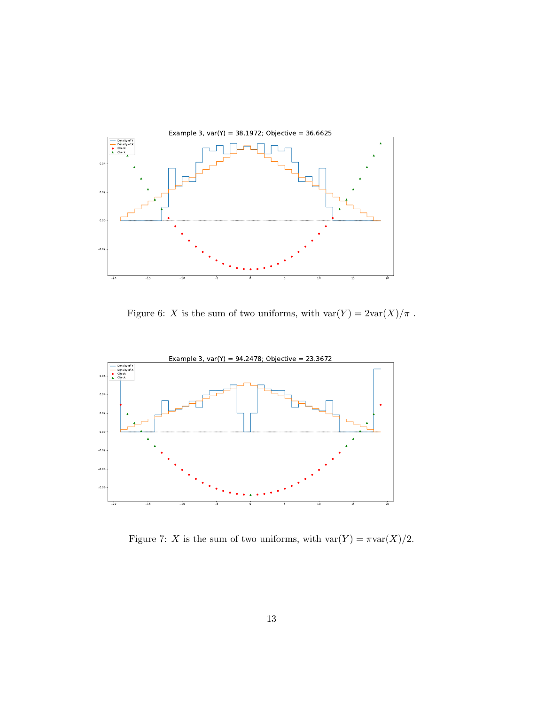

<span id="page-12-0"></span>Figure 6:  $X$  is the sum of two uniforms, with  $\text{var}(Y) = 2\text{var}(X)/\pi$  .



<span id="page-12-1"></span>Figure 7: X is the sum of two uniforms, with  $\text{var}(Y) = \pi \text{var}(X)/2$ .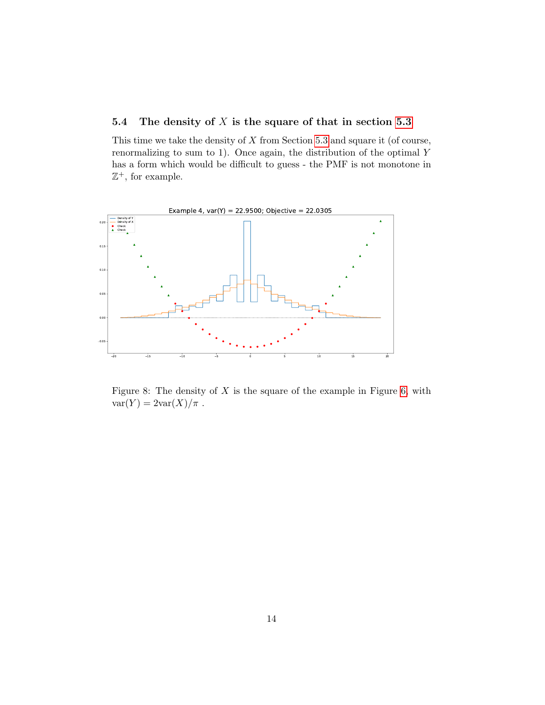### 5.4 The density of  $X$  is the square of that in section [5.3](#page-11-1)

This time we take the density of  $X$  from Section [5.3](#page-11-1) and square it (of course, renormalizing to sum to 1). Once again, the distribution of the optimal Y has a form which would be difficult to guess - the PMF is not monotone in  $\mathbb{Z}^+$ , for example.



Figure 8: The density of  $X$  is the square of the example in Figure [6,](#page-12-0) with  $var(Y) = 2var(X)/\pi$ .